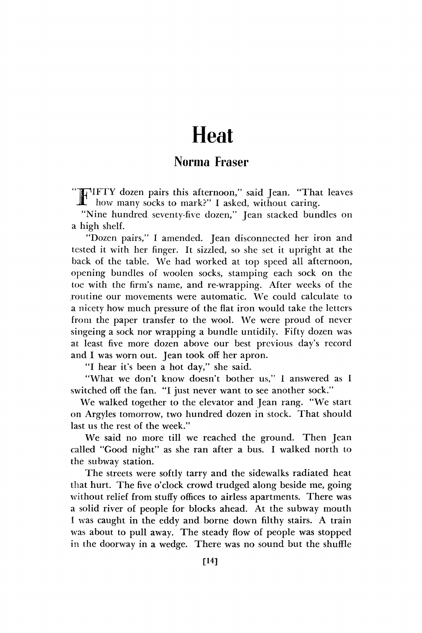## **Heat**

## Norma Fraser

F IFTY dozen pairs this afternoon," said Jean. "That leaves how many socks to mark?" I asked, without caring.

"Nine hundred seventy-five dozen," Jean stacked bundles on a high shelf.

"Dozen pairs," I amended. Jean disconnected her iron and tested it with her finger. It sizzled, so she set it upright at the back of the table. We had worked at top speed all afternoon, opening bundles of woolen socks, stamping each sock on the toe with the firm's name, and re-wrapping. After weeks of the routine our movements were automatic. We could calculate to a nicety how much pressure of the flat iron would take the letters from the paper transfer to the wool. We were proud of never singeing a sock nor wrapping a bundle untidily. Fifty dozen was at least five more dozen above our best previous day's record and I was worn out. Jean took off her apron.

"I hear it's been a hot day," she said.

"What we don't know doesn't bother us," 1 answered as I switched off the fan. "I just never want to see another sock."

We walked together to the elevator and Jean rang. "We start on Argyles tomorrow, two hundred dozen in stock. That should last us the rest of the week."

We said no more till we reached the ground. Then Jean called "Good night" as she ran after a bus. I walked north to the subway station.

The streets were softly tarry and the sidewalks radiated heat that hurt. The five o'clock crowd trudged along beside me, going without relief from stuffy offices to airless apartments. There was a solid river of people for blocks ahead. At the subway mouth I was caught in the eddy and borne down filthy stairs. A train was about to pull away. The steady flow of people was stopped in the doorway in a wedge. There was no sound but the shuffle